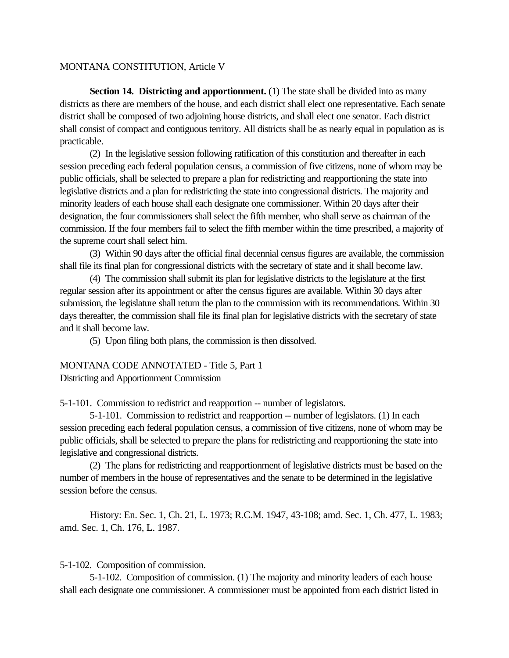## MONTANA CONSTITUTION, Article V

**Section 14. Districting and apportionment.** (1) The state shall be divided into as many districts as there are members of the house, and each district shall elect one representative. Each senate district shall be composed of two adjoining house districts, and shall elect one senator. Each district shall consist of compact and contiguous territory. All districts shall be as nearly equal in population as is practicable.

(2) In the legislative session following ratification of this constitution and thereafter in each session preceding each federal population census, a commission of five citizens, none of whom may be public officials, shall be selected to prepare a plan for redistricting and reapportioning the state into legislative districts and a plan for redistricting the state into congressional districts. The majority and minority leaders of each house shall each designate one commissioner. Within 20 days after their designation, the four commissioners shall select the fifth member, who shall serve as chairman of the commission. If the four members fail to select the fifth member within the time prescribed, a majority of the supreme court shall select him.

(3) Within 90 days after the official final decennial census figures are available, the commission shall file its final plan for congressional districts with the secretary of state and it shall become law.

(4) The commission shall submit its plan for legislative districts to the legislature at the first regular session after its appointment or after the census figures are available. Within 30 days after submission, the legislature shall return the plan to the commission with its recommendations. Within 30 days thereafter, the commission shall file its final plan for legislative districts with the secretary of state and it shall become law.

(5) Upon filing both plans, the commission is then dissolved.

MONTANA CODE ANNOTATED - Title 5, Part 1 Districting and Apportionment Commission

5-1-101. Commission to redistrict and reapportion -- number of legislators.

5-1-101. Commission to redistrict and reapportion -- number of legislators. (1) In each session preceding each federal population census, a commission of five citizens, none of whom may be public officials, shall be selected to prepare the plans for redistricting and reapportioning the state into legislative and congressional districts.

(2) The plans for redistricting and reapportionment of legislative districts must be based on the number of members in the house of representatives and the senate to be determined in the legislative session before the census.

History: En. Sec. 1, Ch. 21, L. 1973; R.C.M. 1947, 43-108; amd. Sec. 1, Ch. 477, L. 1983; amd. Sec. 1, Ch. 176, L. 1987.

## 5-1-102. Composition of commission.

5-1-102. Composition of commission. (1) The majority and minority leaders of each house shall each designate one commissioner. A commissioner must be appointed from each district listed in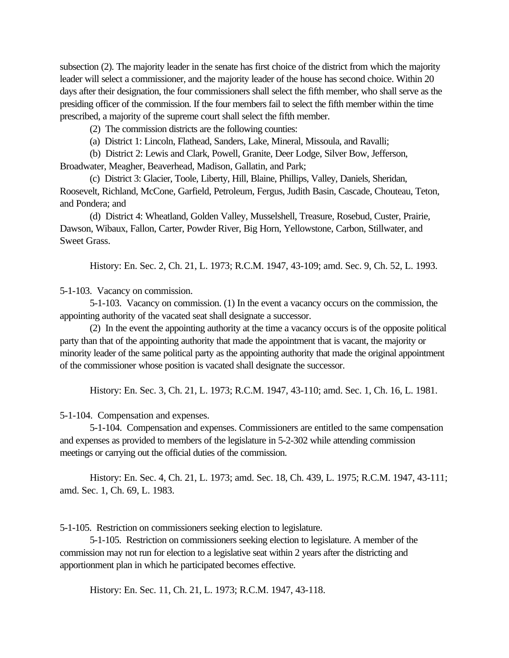subsection (2). The majority leader in the senate has first choice of the district from which the majority leader will select a commissioner, and the majority leader of the house has second choice. Within 20 days after their designation, the four commissioners shall select the fifth member, who shall serve as the presiding officer of the commission. If the four members fail to select the fifth member within the time prescribed, a majority of the supreme court shall select the fifth member.

(2) The commission districts are the following counties:

(a) District 1: Lincoln, Flathead, Sanders, Lake, Mineral, Missoula, and Ravalli;

(b) District 2: Lewis and Clark, Powell, Granite, Deer Lodge, Silver Bow, Jefferson,

Broadwater, Meagher, Beaverhead, Madison, Gallatin, and Park;

(c) District 3: Glacier, Toole, Liberty, Hill, Blaine, Phillips, Valley, Daniels, Sheridan, Roosevelt, Richland, McCone, Garfield, Petroleum, Fergus, Judith Basin, Cascade, Chouteau, Teton, and Pondera; and

(d) District 4: Wheatland, Golden Valley, Musselshell, Treasure, Rosebud, Custer, Prairie, Dawson, Wibaux, Fallon, Carter, Powder River, Big Horn, Yellowstone, Carbon, Stillwater, and Sweet Grass.

History: En. Sec. 2, Ch. 21, L. 1973; R.C.M. 1947, 43-109; amd. Sec. 9, Ch. 52, L. 1993.

5-1-103. Vacancy on commission.

5-1-103. Vacancy on commission. (1) In the event a vacancy occurs on the commission, the appointing authority of the vacated seat shall designate a successor.

(2) In the event the appointing authority at the time a vacancy occurs is of the opposite political party than that of the appointing authority that made the appointment that is vacant, the majority or minority leader of the same political party as the appointing authority that made the original appointment of the commissioner whose position is vacated shall designate the successor.

History: En. Sec. 3, Ch. 21, L. 1973; R.C.M. 1947, 43-110; amd. Sec. 1, Ch. 16, L. 1981.

5-1-104. Compensation and expenses.

5-1-104. Compensation and expenses. Commissioners are entitled to the same compensation and expenses as provided to members of the legislature in 5-2-302 while attending commission meetings or carrying out the official duties of the commission.

History: En. Sec. 4, Ch. 21, L. 1973; amd. Sec. 18, Ch. 439, L. 1975; R.C.M. 1947, 43-111; amd. Sec. 1, Ch. 69, L. 1983.

5-1-105. Restriction on commissioners seeking election to legislature.

5-1-105. Restriction on commissioners seeking election to legislature. A member of the commission may not run for election to a legislative seat within 2 years after the districting and apportionment plan in which he participated becomes effective.

History: En. Sec. 11, Ch. 21, L. 1973; R.C.M. 1947, 43-118.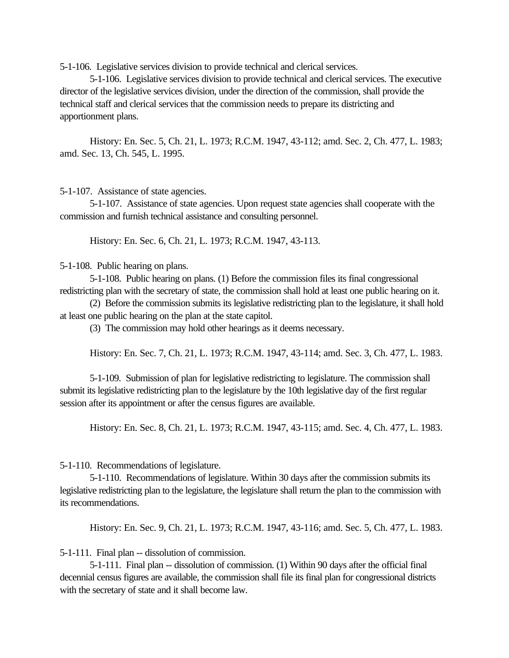5-1-106. Legislative services division to provide technical and clerical services.

5-1-106. Legislative services division to provide technical and clerical services. The executive director of the legislative services division, under the direction of the commission, shall provide the technical staff and clerical services that the commission needs to prepare its districting and apportionment plans.

History: En. Sec. 5, Ch. 21, L. 1973; R.C.M. 1947, 43-112; amd. Sec. 2, Ch. 477, L. 1983; amd. Sec. 13, Ch. 545, L. 1995.

5-1-107. Assistance of state agencies.

5-1-107. Assistance of state agencies. Upon request state agencies shall cooperate with the commission and furnish technical assistance and consulting personnel.

History: En. Sec. 6, Ch. 21, L. 1973; R.C.M. 1947, 43-113.

5-1-108. Public hearing on plans.

5-1-108. Public hearing on plans. (1) Before the commission files its final congressional redistricting plan with the secretary of state, the commission shall hold at least one public hearing on it.

(2) Before the commission submits its legislative redistricting plan to the legislature, it shall hold at least one public hearing on the plan at the state capitol.

(3) The commission may hold other hearings as it deems necessary.

History: En. Sec. 7, Ch. 21, L. 1973; R.C.M. 1947, 43-114; amd. Sec. 3, Ch. 477, L. 1983.

5-1-109. Submission of plan for legislative redistricting to legislature. The commission shall submit its legislative redistricting plan to the legislature by the 10th legislative day of the first regular session after its appointment or after the census figures are available.

History: En. Sec. 8, Ch. 21, L. 1973; R.C.M. 1947, 43-115; amd. Sec. 4, Ch. 477, L. 1983.

5-1-110. Recommendations of legislature.

5-1-110. Recommendations of legislature. Within 30 days after the commission submits its legislative redistricting plan to the legislature, the legislature shall return the plan to the commission with its recommendations.

History: En. Sec. 9, Ch. 21, L. 1973; R.C.M. 1947, 43-116; amd. Sec. 5, Ch. 477, L. 1983.

5-1-111. Final plan -- dissolution of commission.

5-1-111. Final plan -- dissolution of commission. (1) Within 90 days after the official final decennial census figures are available, the commission shall file its final plan for congressional districts with the secretary of state and it shall become law.